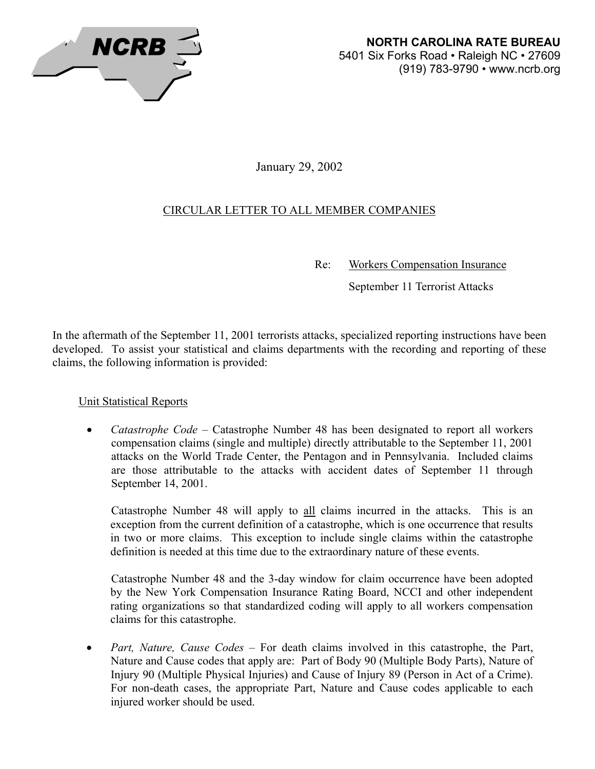

January 29, 2002

# CIRCULAR LETTER TO ALL MEMBER COMPANIES

Re: Workers Compensation Insurance

September 11 Terrorist Attacks

In the aftermath of the September 11, 2001 terrorists attacks, specialized reporting instructions have been developed. To assist your statistical and claims departments with the recording and reporting of these claims, the following information is provided:

Unit Statistical Reports

• *Catastrophe Code* – Catastrophe Number 48 has been designated to report all workers compensation claims (single and multiple) directly attributable to the September 11, 2001 attacks on the World Trade Center, the Pentagon and in Pennsylvania. Included claims are those attributable to the attacks with accident dates of September 11 through September 14, 2001.

Catastrophe Number 48 will apply to all claims incurred in the attacks. This is an exception from the current definition of a catastrophe, which is one occurrence that results in two or more claims. This exception to include single claims within the catastrophe definition is needed at this time due to the extraordinary nature of these events.

Catastrophe Number 48 and the 3-day window for claim occurrence have been adopted by the New York Compensation Insurance Rating Board, NCCI and other independent rating organizations so that standardized coding will apply to all workers compensation claims for this catastrophe.

• *Part, Nature, Cause Codes* – For death claims involved in this catastrophe, the Part, Nature and Cause codes that apply are: Part of Body 90 (Multiple Body Parts), Nature of Injury 90 (Multiple Physical Injuries) and Cause of Injury 89 (Person in Act of a Crime). For non-death cases, the appropriate Part, Nature and Cause codes applicable to each injured worker should be used.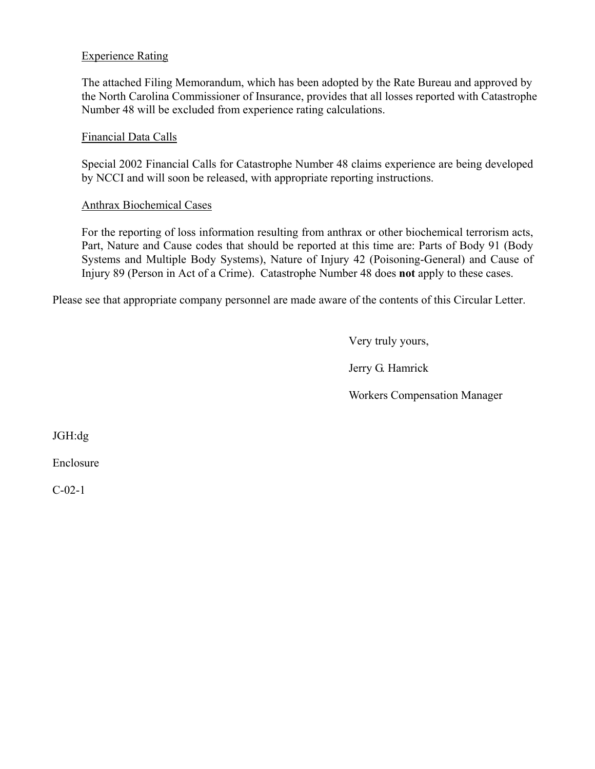# Experience Rating

The attached Filing Memorandum, which has been adopted by the Rate Bureau and approved by the North Carolina Commissioner of Insurance, provides that all losses reported with Catastrophe Number 48 will be excluded from experience rating calculations.

# Financial Data Calls

Special 2002 Financial Calls for Catastrophe Number 48 claims experience are being developed by NCCI and will soon be released, with appropriate reporting instructions.

# Anthrax Biochemical Cases

For the reporting of loss information resulting from anthrax or other biochemical terrorism acts, Part, Nature and Cause codes that should be reported at this time are: Parts of Body 91 (Body Systems and Multiple Body Systems), Nature of Injury 42 (Poisoning-General) and Cause of Injury 89 (Person in Act of a Crime). Catastrophe Number 48 does **not** apply to these cases.

Please see that appropriate company personnel are made aware of the contents of this Circular Letter.

Very truly yours,

Jerry G. Hamrick

Workers Compensation Manager

JGH:dg

Enclosure

C-02-1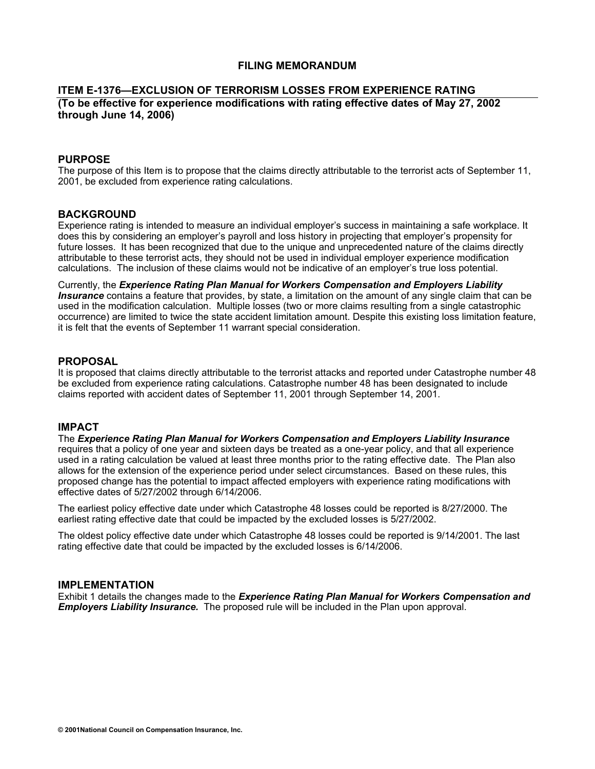### **FILING MEMORANDUM**

#### **ITEM E-1376—EXCLUSION OF TERRORISM LOSSES FROM EXPERIENCE RATING (To be effective for experience modifications with rating effective dates of May 27, 2002 through June 14, 2006)**

#### **PURPOSE**

The purpose of this Item is to propose that the claims directly attributable to the terrorist acts of September 11, 2001, be excluded from experience rating calculations.

### **BACKGROUND**

Experience rating is intended to measure an individual employer's success in maintaining a safe workplace. It does this by considering an employer's payroll and loss history in projecting that employer's propensity for future losses. It has been recognized that due to the unique and unprecedented nature of the claims directly attributable to these terrorist acts, they should not be used in individual employer experience modification calculations. The inclusion of these claims would not be indicative of an employer's true loss potential.

Currently, the *Experience Rating Plan Manual for Workers Compensation and Employers Liability Insurance* contains a feature that provides, by state, a limitation on the amount of any single claim that can be used in the modification calculation. Multiple losses (two or more claims resulting from a single catastrophic occurrence) are limited to twice the state accident limitation amount. Despite this existing loss limitation feature, it is felt that the events of September 11 warrant special consideration.

#### **PROPOSAL**

It is proposed that claims directly attributable to the terrorist attacks and reported under Catastrophe number 48 be excluded from experience rating calculations. Catastrophe number 48 has been designated to include claims reported with accident dates of September 11, 2001 through September 14, 2001.

#### **IMPACT**

The *Experience Rating Plan Manual for Workers Compensation and Employers Liability Insurance* requires that a policy of one year and sixteen days be treated as a one-year policy, and that all experience used in a rating calculation be valued at least three months prior to the rating effective date. The Plan also allows for the extension of the experience period under select circumstances. Based on these rules, this proposed change has the potential to impact affected employers with experience rating modifications with effective dates of 5/27/2002 through 6/14/2006.

The earliest policy effective date under which Catastrophe 48 losses could be reported is 8/27/2000. The earliest rating effective date that could be impacted by the excluded losses is 5/27/2002.

The oldest policy effective date under which Catastrophe 48 losses could be reported is 9/14/2001. The last rating effective date that could be impacted by the excluded losses is 6/14/2006.

#### **IMPLEMENTATION**

Exhibit 1 details the changes made to the *Experience Rating Plan Manual for Workers Compensation and Employers Liability Insurance.* The proposed rule will be included in the Plan upon approval.